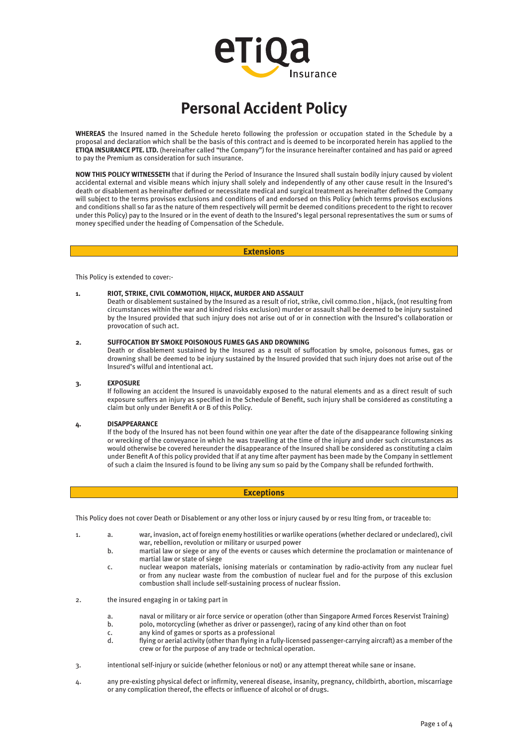# erro Insurance

# **Personal Accident Policy**

**WHEREAS** the Insured named in the Schedule hereto following the profession or occupation stated in the Schedule by a proposal and declaration which shall be the basis of this contract and is deemed to be incorporated herein has applied to the **ETIQA INSURANCE PTE. LTD.** (hereinafter called "the Company") for the insurance hereinafter contained and has paid or agreed to pay the Premium as consideration for such insurance.

**NOW THIS POLICY WITNESSETH** that if during the Period of Insurance the Insured shall sustain bodily injury caused by violent accidental external and visible means which injury shall solely and independently of any other cause result in the lnsured's death or disablement as hereinafter defined or necessitate medical and surgical treatment as hereinafter defined the Company will subject to the terms provisos exclusions and conditions of and endorsed on this Policy (which terms provisos exclusions and conditions shall so far as the nature of them respectively will permit be deemed conditions precedent to the right to recover under this Policy) pay to the Insured or in the event of death to the lnsured's legal personal representatives the sum or sums of money specified under the heading of Compensation of the Schedule.

#### **Extensions**

This Policy is extended to cover:-

#### **1. RIOT, STRIKE, CIVIL COMMOTION, HIJACK, MURDER AND ASSAULT**

Death or disablement sustained by the Insured as a result of riot, strike, civil commo.tion , hijack, (not resulting from circumstances within the war and kindred risks exclusion) murder or assault shall be deemed to be injury sustained by the Insured provided that such injury does not arise out of or in connection with the lnsured's collaboration or provocation of such act.

#### **2. SUFFOCATION BY SMOKE POISONOUS FUMES GAS AND DROWNING**

Death or disablement sustained by the Insured as a result of suffocation by smoke, poisonous fumes, gas or drowning shall be deemed to be injury sustained by the Insured provided that such injury does not arise out of the lnsured's wilful and intentional act.

#### **3. EXPOSURE**

If following an accident the Insured is unavoidably exposed to the natural elements and as a direct result of such exposure suffers an injury as specified in the Schedule of Benefit, such injury shall be considered as constituting a claim but only under Benefit A or B of this Policy.

## **4. DISAPPEARANCE**

If the body of the Insured has not been found within one year after the date of the disappearance following sinking or wrecking of the conveyance in which he was travelling at the time of the injury and under such circumstances as would otherwise be covered hereunder the disappearance of the Insured shall be considered as constituting a claim under Benefit A of this policy provided that if at any time after payment has been made by the Company in settlement of such a claim the Insured is found to be living any sum so paid by the Company shall be refunded forthwith.

#### **Exceptions**

This Policy does not cover Death or Disablement or any other loss or injury caused by or resu lting from, or traceable to:

- 1. a. war, invasion, act of foreign enemy hostilities or warlike operations (whether declared or undeclared), civil war, rebellion, revolution or military or usurped power
	- b. martial law or siege or any of the events or causes which determine the proclamation or maintenance of martial law or state of siege
	- c. nuclear weapon materials, ionising materials or contamination by radio-activity from any nuclear fuel or from any nuclear waste from the combustion of nuclear fuel and for the purpose of this exclusion combustion shall include self-sustaining process of nuclear fission.
- 2. the insured engaging in or taking part in
	- a. naval or military or air force service or operation (other than Singapore Armed Forces Reservist Training)<br>b. polo, motorcycling (whether as driver or passenger), racing of any kind other than on foot
	- polo, motorcycling (whether as driver or passenger), racing of any kind other than on foot
	- c. any kind of games or sports as a professional
		- d. flying or aerial activity (other than flying in a fully-licensed passenger-carrying aircraft) as a member of the crew or for the purpose of any trade or technical operation.
- 3. intentional self-injury or suicide (whether felonious or not) or any attempt thereat while sane or insane.
- 4. any pre-existing physical defect or infirmity, venereal disease, insanity, pregnancy, childbirth, abortion, miscarriage or any complication thereof, the effects or influence of alcohol or of drugs.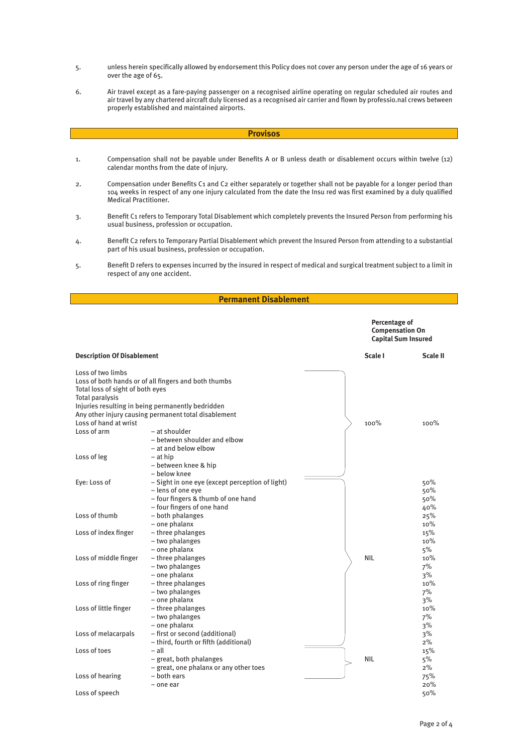- 5. unless herein specifically allowed by endorsement this Policy does not cover any person under the age of 16 years or over the age of 65.
- 6. Air travel except as a fare-paying passenger on a recognised airline operating on regular scheduled air routes and air travel by any chartered aircraft duly licensed as a recognised air carrier and flown by professio.nal crews between properly established and maintained airports.

#### **Provisos**

- 1. Compensation shall not be payable under Benefits A or B unless death or disablement occurs within twelve (12) calendar months from the date of injury.
- 2. Compensation under Benefits C1 and C2 either separately or together shall not be payable for a longer period than 104 weeks in respect of any one injury calculated from the date the Insu red was first examined by a duly qualified Medical Practitioner.
- 3. Benefit C1 refers to Temporary Total Disablement which completely prevents the Insured Person from performing his usual business, profession or occupation.
- 4. Benefit C2 refers to Temporary Partial Disablement which prevent the Insured Person from attending to a substantial part of his usual business, profession or occupation.
- 5. Benefit D refers to expenses incurred by the insured in respect of medical and surgical treatment subject to a limit in respect of any one accident.

# **Permanent Disablement**

**Percentage of Compensation On Capital Sum Insured**

| <b>Description Of Disablement</b>                                                                                               |                                                                                                                                                                                                                                                                                  | Scale I    | <b>Scale II</b>          |
|---------------------------------------------------------------------------------------------------------------------------------|----------------------------------------------------------------------------------------------------------------------------------------------------------------------------------------------------------------------------------------------------------------------------------|------------|--------------------------|
| Loss of two limbs<br>Total loss of sight of both eyes<br>Total paralysis<br>Loss of hand at wrist<br>Loss of arm<br>Loss of leg | Loss of both hands or of all fingers and both thumbs<br>Injuries resulting in being permanently bedridden<br>Any other injury causing permanent total disablement<br>- at shoulder<br>- between shoulder and elbow<br>- at and below elbow<br>$-$ at hip<br>- between knee & hip | 100%       | 100%                     |
| Eye: Loss of                                                                                                                    | – below knee<br>- Sight in one eye (except perception of light)<br>- lens of one eye<br>- four fingers & thumb of one hand<br>- four fingers of one hand                                                                                                                         |            | 50%<br>50%<br>50%<br>40% |
| Loss of thumb                                                                                                                   | - both phalanges<br>- one phalanx                                                                                                                                                                                                                                                |            | 25%<br>10%               |
| Loss of index finger                                                                                                            | - three phalanges<br>- two phalanges<br>- one phalanx                                                                                                                                                                                                                            |            | 15%<br>10%<br>5%         |
| Loss of middle finger                                                                                                           | - three phalanges<br>- two phalanges<br>- one phalanx                                                                                                                                                                                                                            | <b>NIL</b> | 10%<br>7%<br>3%          |
| Loss of ring finger                                                                                                             | - three phalanges<br>- two phalanges<br>- one phalanx                                                                                                                                                                                                                            |            | 10%<br>7%<br>3%          |
| Loss of little finger                                                                                                           | - three phalanges<br>- two phalanges<br>- one phalanx                                                                                                                                                                                                                            |            | 10%<br>7%<br>3%          |
| Loss of melacarpals                                                                                                             | - first or second (additional)<br>- third, fourth or fifth (additional)                                                                                                                                                                                                          |            | 3%<br>2%                 |
| Loss of toes                                                                                                                    | $-$ all<br>- great, both phalanges<br>- great, one phalanx or any other toes                                                                                                                                                                                                     | <b>NIL</b> | 15%<br>5%<br>2%          |
| Loss of hearing                                                                                                                 | – both ears<br>- one ear                                                                                                                                                                                                                                                         |            | 75%<br>20%               |
| Loss of speech                                                                                                                  |                                                                                                                                                                                                                                                                                  |            | 50%                      |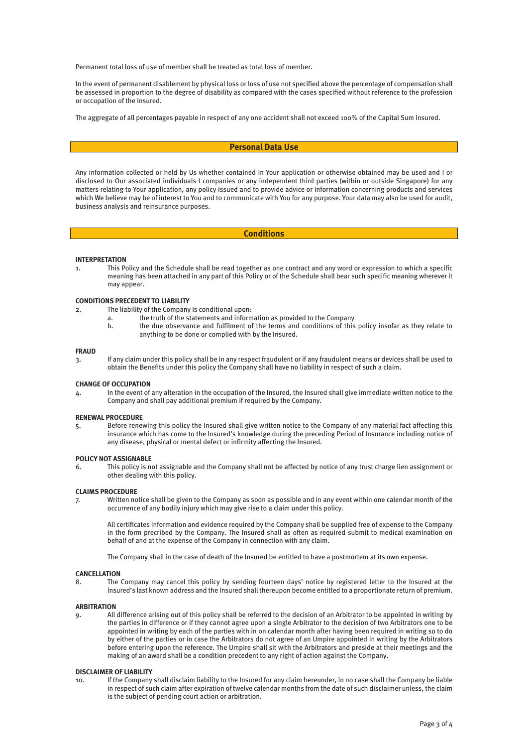Permanent total loss of use of member shall be treated as total loss of member.

In the event of permanent disablement by physical loss or loss of use not specified above the percentage of compensation shall be assessed in proportion to the degree of disability as compared with the cases specified without reference to the profession or occupation of the Insured.

The aggregate of all percentages payable in respect of any one accident shall not exceed 100% of the Capital Sum Insured.

#### **Personal Data Use**

Any information collected or held by Us whether contained in Your application or otherwise obtained may be used and I or disclosed to Our associated individuals I companies or any independent third parties (within or outside Singapore) for any matters relating to Your application, any policy issued and to provide advice or information concerning products and services which We believe may be of interest to You and to communicate with You for any purpose. Your data may also be used for audit, business analysis and reinsurance purposes.

#### **Conditions**

#### **INTERPRETATION**

1. This Policy and the Schedule shall be read together as one contract and any word or expression to which a specific meaning has been attached in any part of this Policy or of the Schedule shall bear such specific meaning wherever it may appear.

#### **CONDITIONS PRECEDENT TO LIABILITY**

- 2. The liability of the Company is conditional upon:
	- a. the truth of the statements and information as provided to the Company
	- b. the due observance and fulfilment of the terms and conditions of this policy insofar as they relate to anything to be done or complied with by the Insured.

#### **FRAUD**

3. If any claim under this policy shall be in any respect fraudulent or if any fraudulent means or devices shall be used to obtain the Benefits under this policy the Company shall have no liability in respect of such a claim.

#### **CHANGE OF OCCUPATION**

4. In the event of any alteration in the occupation of the Insured, the Insured shall give immediate written notice to the Company and shall pay additional premium if required by the Company.

#### **RENEWAL PROCEDURE**

5. Before renewing this policy the Insured shall give written notice to the Company of any material fact affecting this insurance which has come to the lnsured's knowledge during the preceding Period of Insurance including notice of any disease, physical or mental defect or infirmity affecting the Insured.

#### **POLICY NOT ASSIGNABLE**

6. This policy is not assignable and the Company shall not be affected by notice of any trust charge lien assignment or other dealing with this policy.

#### **CLAIMS PROCEDURE**

7. Written notice shall be given to the Company as soon as possible and in any event within one calendar month of the occurrence of any bodily injury which may give rise to a claim under this policy.

All certificates information and evidence required by the Company shall be supplied free of expense to the Company in the form precribed by the Company. The Insured shall as often as required submit to medical examination on behalf of and at the expense of the Company in connection with any claim.

The Company shall in the case of death of the Insured be entitled to have a postmortem at its own expense.

#### **CANCELLATION**

8. The Company may cancel this policy by sending fourteen days' notice by registered letter to the Insured at the lnsured's last known address and the Insured shall thereupon become entitled to a proportionate return of premium.

#### **ARBITRATION**

9. All difference arising out of this policy shall be referred to the decision of an Arbitrator to be appointed in writing by the parties in difference or if they cannot agree upon a single Arbitrator to the decision of two Arbitrators one to be appointed in writing by each of the parties with in on calendar month after having been required in writing so to do by either of the parties or in case the Arbitrators do not agree of an Umpire appointed in writing by the Arbitrators before entering upon the reference. The Umpire shall sit with the Arbitrators and preside at their meetings and the making of an award shall be a condition precedent to any right of action against the Company.

## **DISCLAIMER OF LIABILITY**

10. If the Company shall disclaim liability to the Insured for any claim hereunder, in no case shall the Company be liable in respect of such claim after expiration of twelve calendar months from the date of such disclaimer unless, the claim is the subject of pending court action or arbitration.